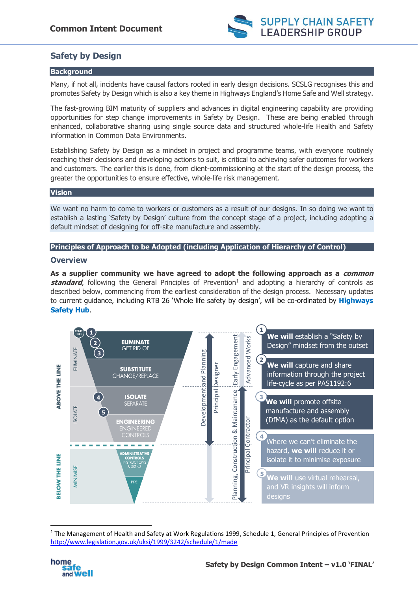

# **Safety by Design**

# **Background**

Many, if not all, incidents have causal factors rooted in early design decisions. SCSLG recognises this and promotes Safety by Design which is also a key theme in Highways England's Home Safe and Well strategy.

The fast-growing BIM maturity of suppliers and advances in digital engineering capability are providing opportunities for step change improvements in Safety by Design. These are being enabled through enhanced, collaborative sharing using single source data and structured whole-life Health and Safety information in Common Data Environments.

Establishing Safety by Design as a mindset in project and programme teams, with everyone routinely reaching their decisions and developing actions to suit, is critical to achieving safer outcomes for workers and customers. The earlier this is done, from client-commissioning at the start of the design process, the greater the opportunities to ensure effective, whole-life risk management.

# **Vision**

We want no harm to come to workers or customers as a result of our designs. In so doing we want to establish a lasting 'Safety by Design' culture from the concept stage of a project, including adopting a default mindset of designing for off-site manufacture and assembly.

# **Principles of Approach to be Adopted (including Application of Hierarchy of Control)**

# **Overview**

**As a supplier community we have agreed to adopt the following approach as a common standard**, following the General Principles of Prevention<sup>1</sup> and adopting a hierarchy of controls as described below, commencing from the earliest consideration of the design process. Necessary updates to current guidance, including RTB 26 'Whole life safety by design', will be co-ordinated by **Highways Safety Hub**.



<sup>&</sup>lt;sup>1</sup> The Management of Health and Safety at Work Regulations 1999, Schedule 1, General Principles of Prevention <http://www.legislation.gov.uk/uksi/1999/3242/schedule/1/made>



1